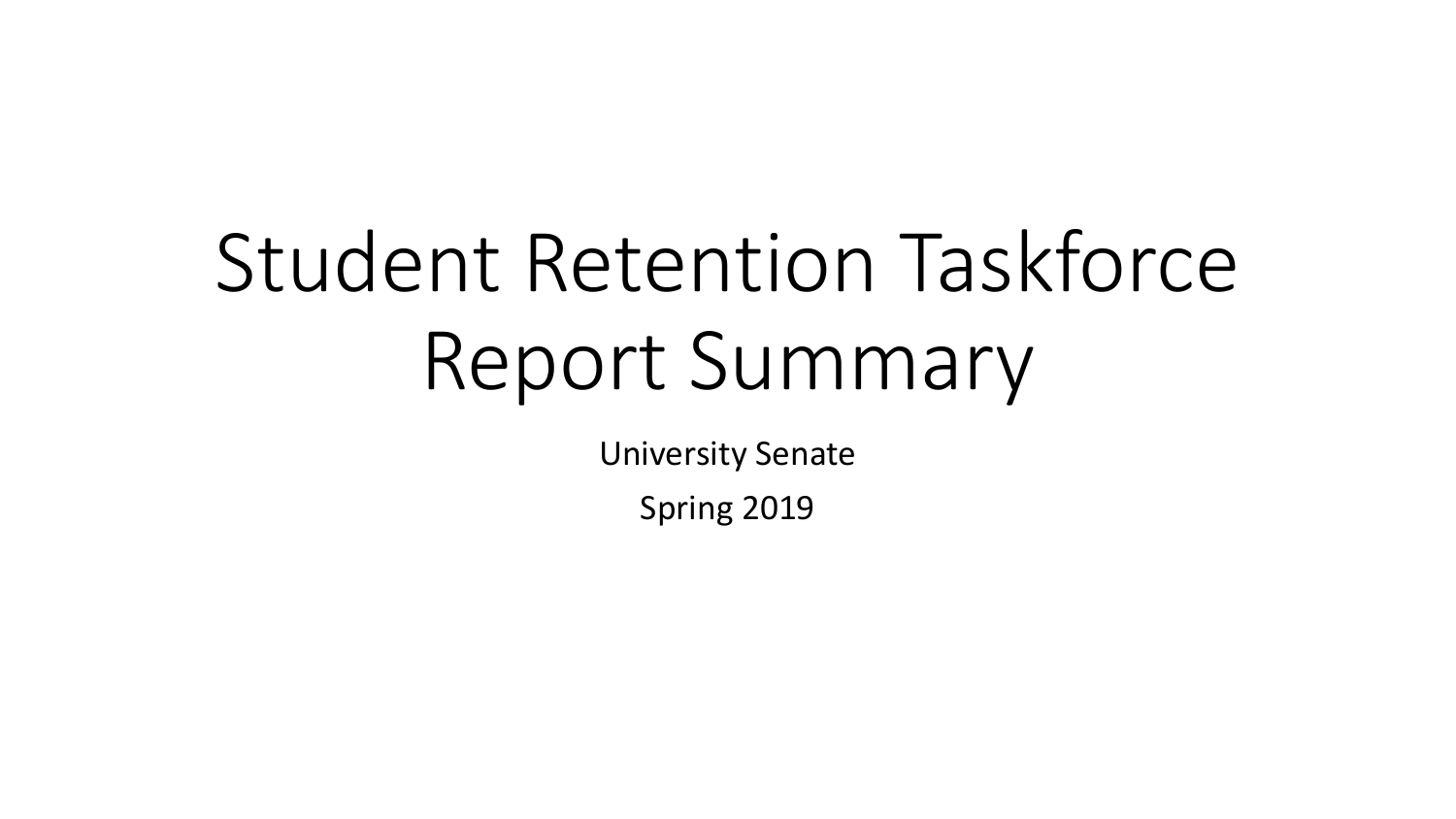# Student Retention Taskforce Report Summary

University Senate

Spring 2019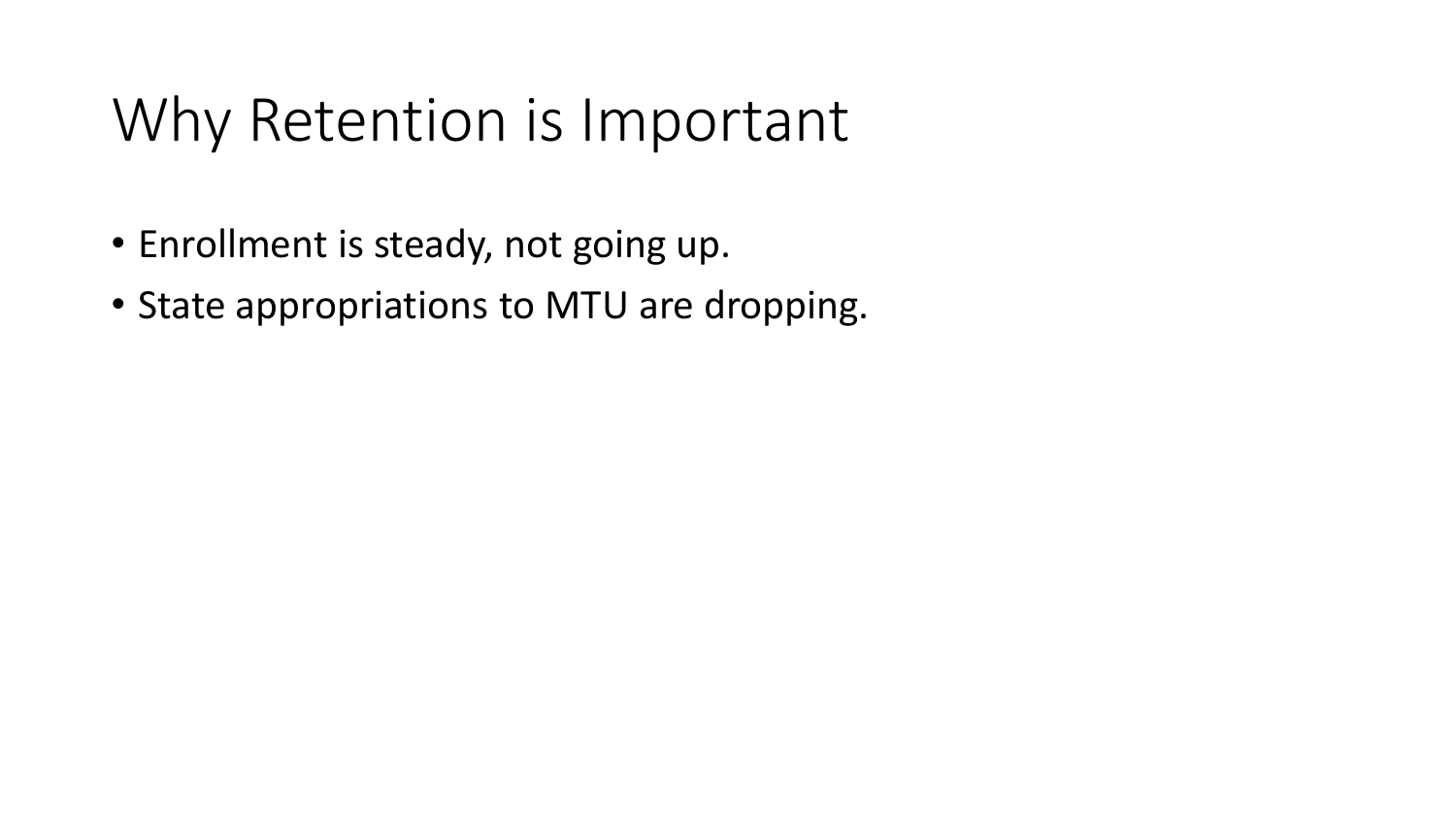# Why Retention is Important

- Enrollment is steady, not going up.
- State appropriations to MTU are dropping.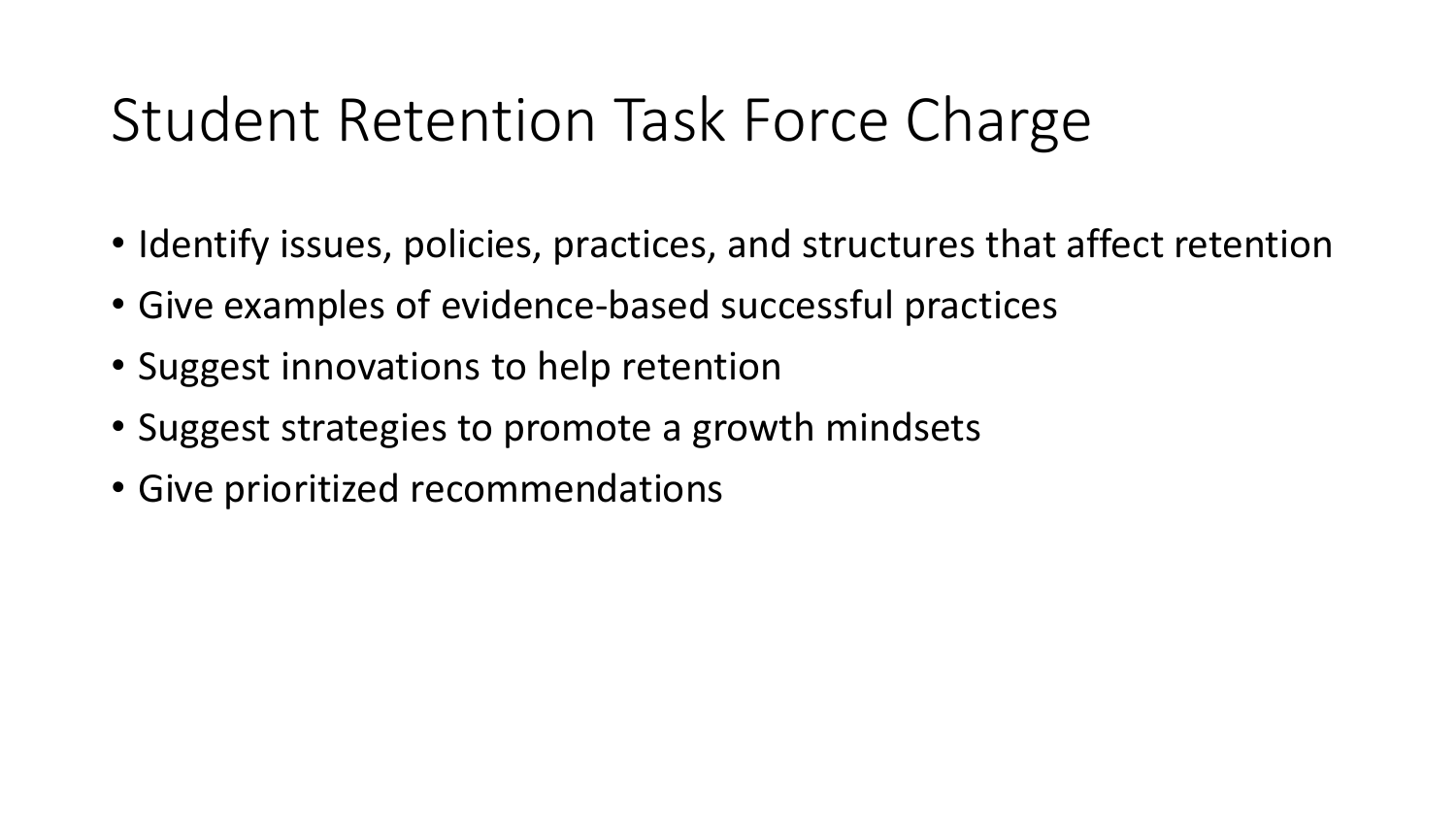# Student Retention Task Force Charge

- Identify issues, policies, practices, and structures that affect retention
- Give examples of evidence-based successful practices
- Suggest innovations to help retention
- Suggest strategies to promote a growth mindsets
- Give prioritized recommendations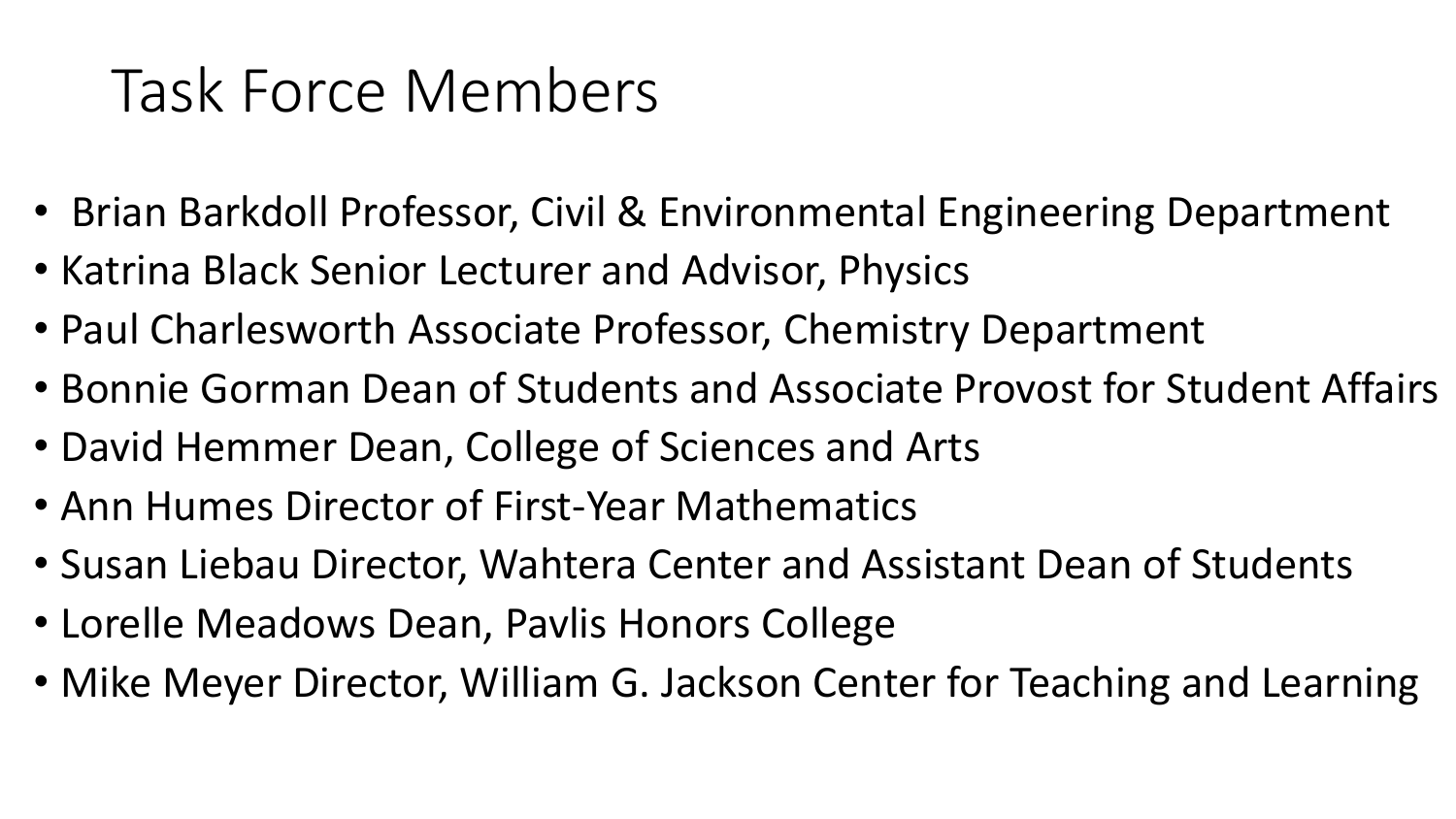# Task Force Members

- Brian Barkdoll Professor, Civil & Environmental Engineering Department
- Katrina Black Senior Lecturer and Advisor, Physics
- Paul Charlesworth Associate Professor, Chemistry Department
- Bonnie Gorman Dean of Students and Associate Provost for Student Affairs
- David Hemmer Dean, College of Sciences and Arts
- Ann Humes Director of First-Year Mathematics
- Susan Liebau Director, Wahtera Center and Assistant Dean of Students
- Lorelle Meadows Dean, Pavlis Honors College
- Mike Meyer Director, William G. Jackson Center for Teaching and Learning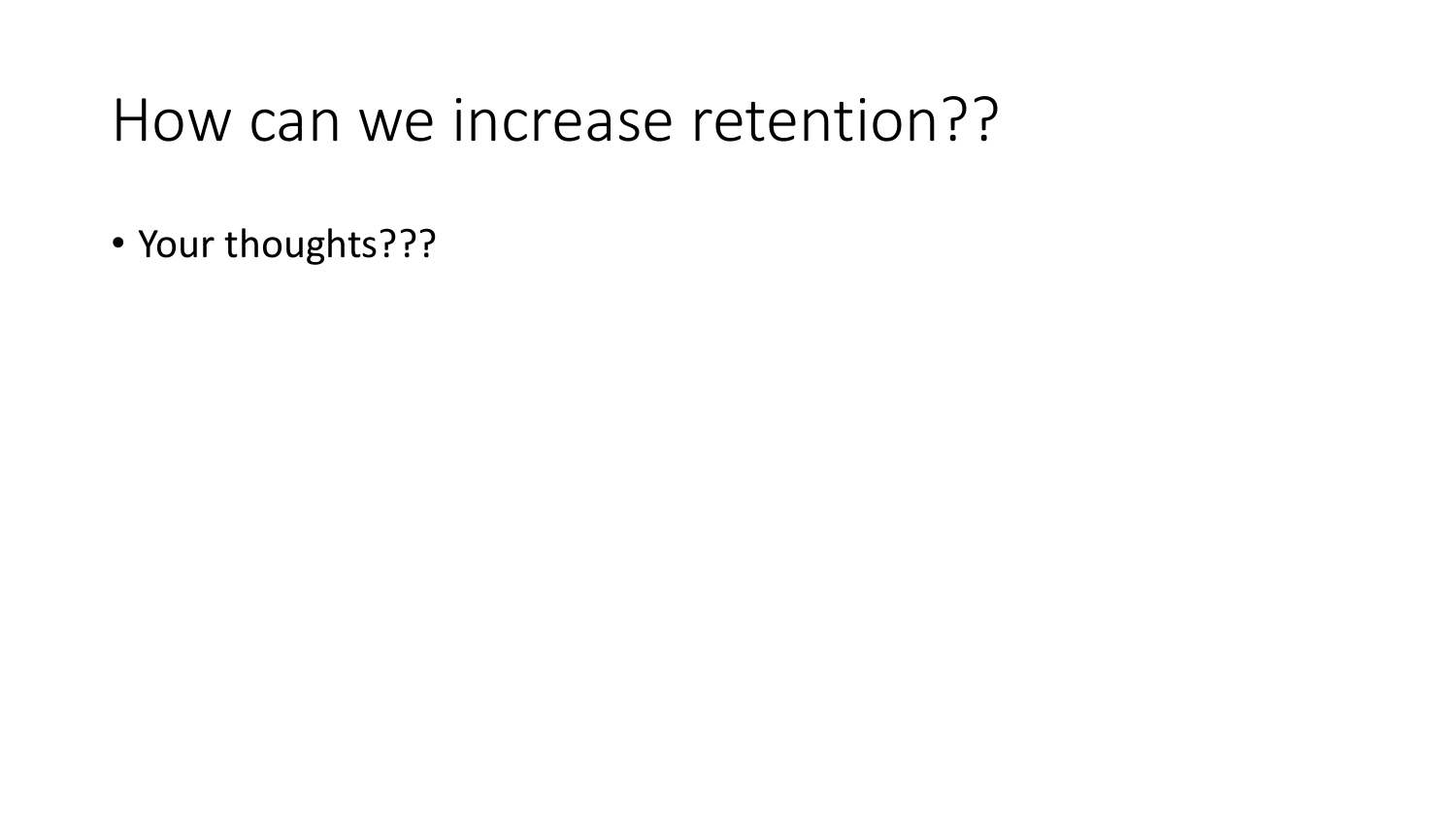#### How can we increase retention??

• Your thoughts???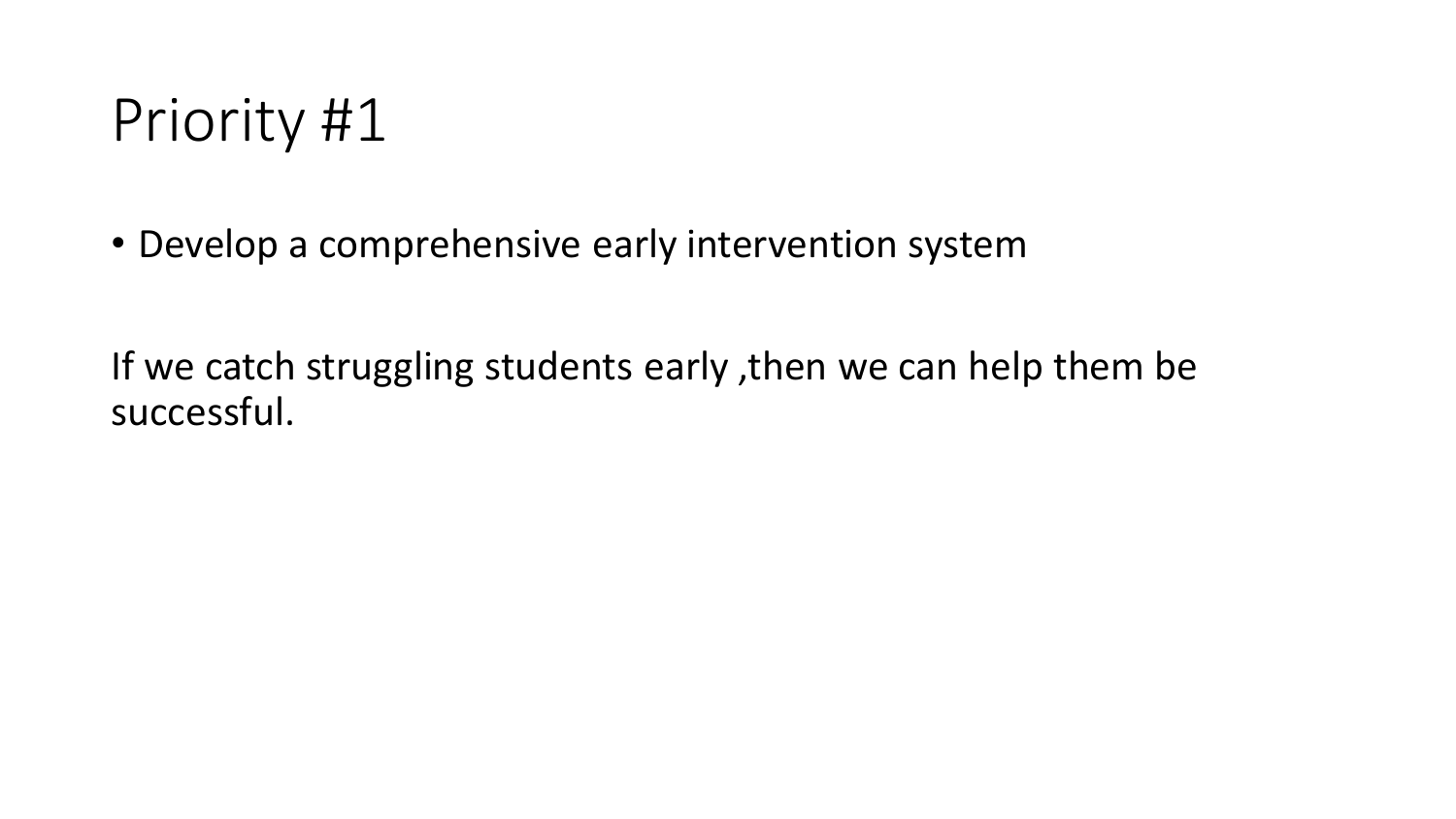• Develop a comprehensive early intervention system

If we catch struggling students early ,then we can help them be successful.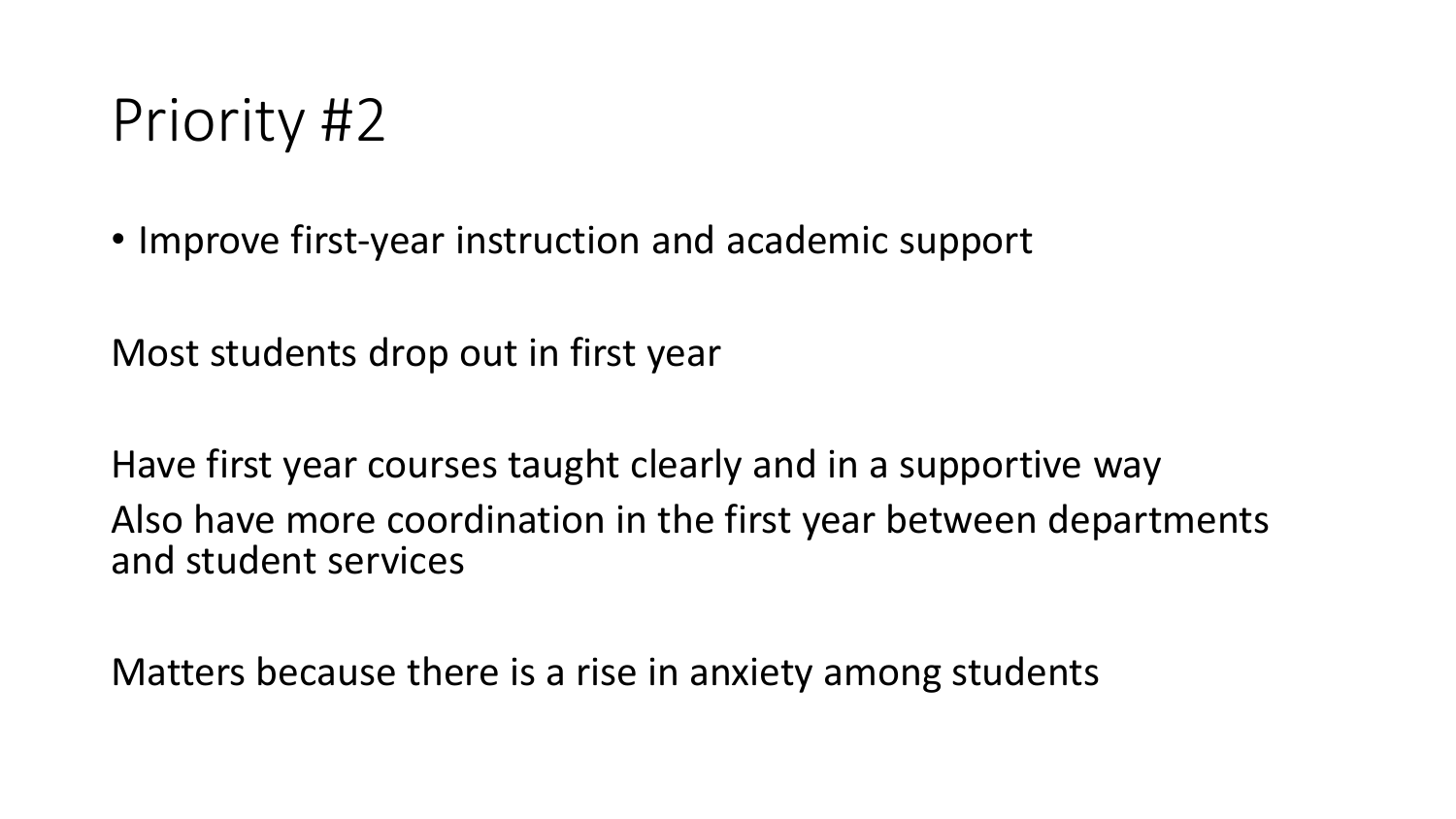• Improve first-year instruction and academic support

Most students drop out in first year

Have first year courses taught clearly and in a supportive way Also have more coordination in the first year between departments and student services

Matters because there is a rise in anxiety among students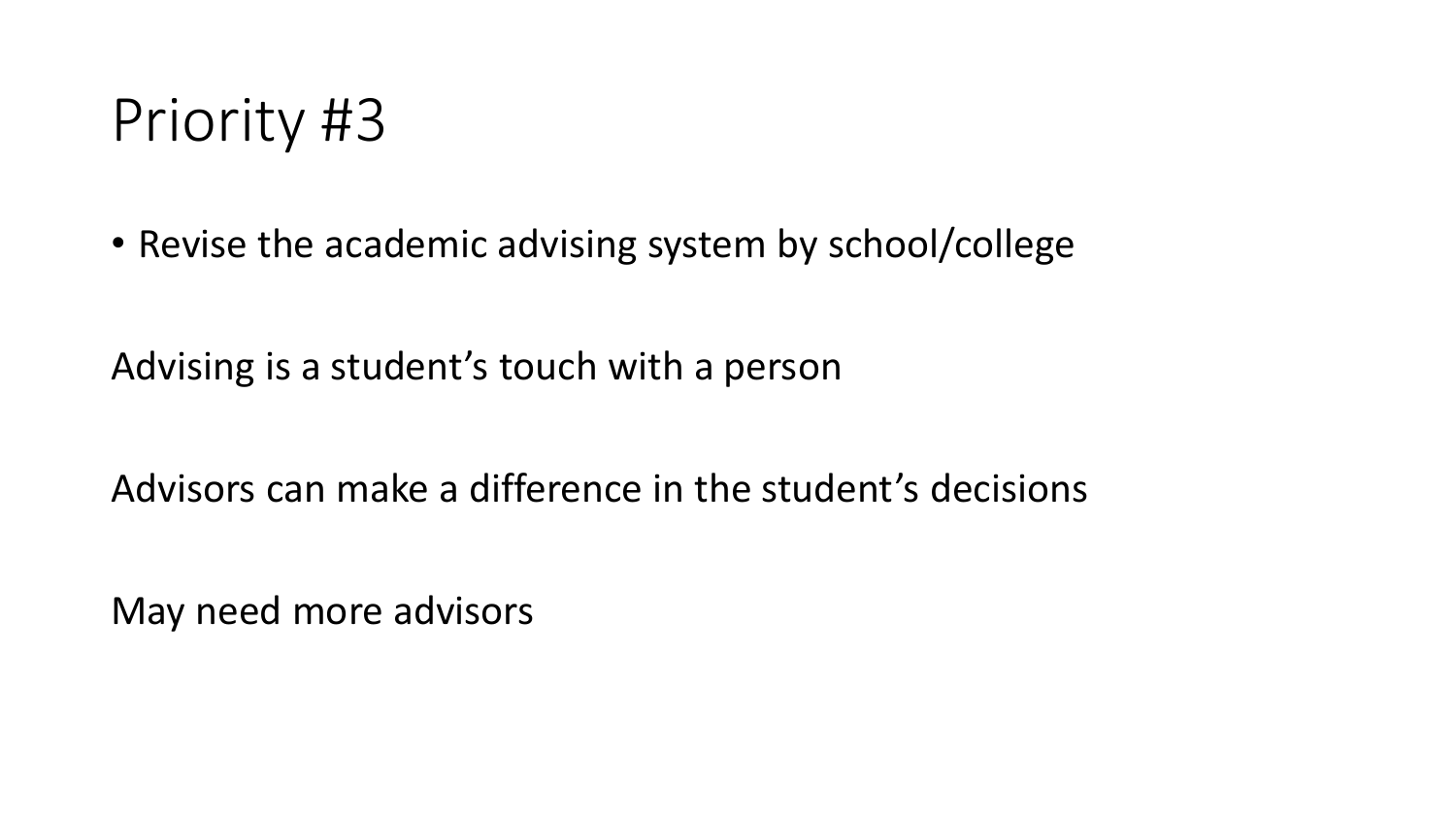• Revise the academic advising system by school/college

Advising is a student's touch with a person

Advisors can make a difference in the student's decisions

May need more advisors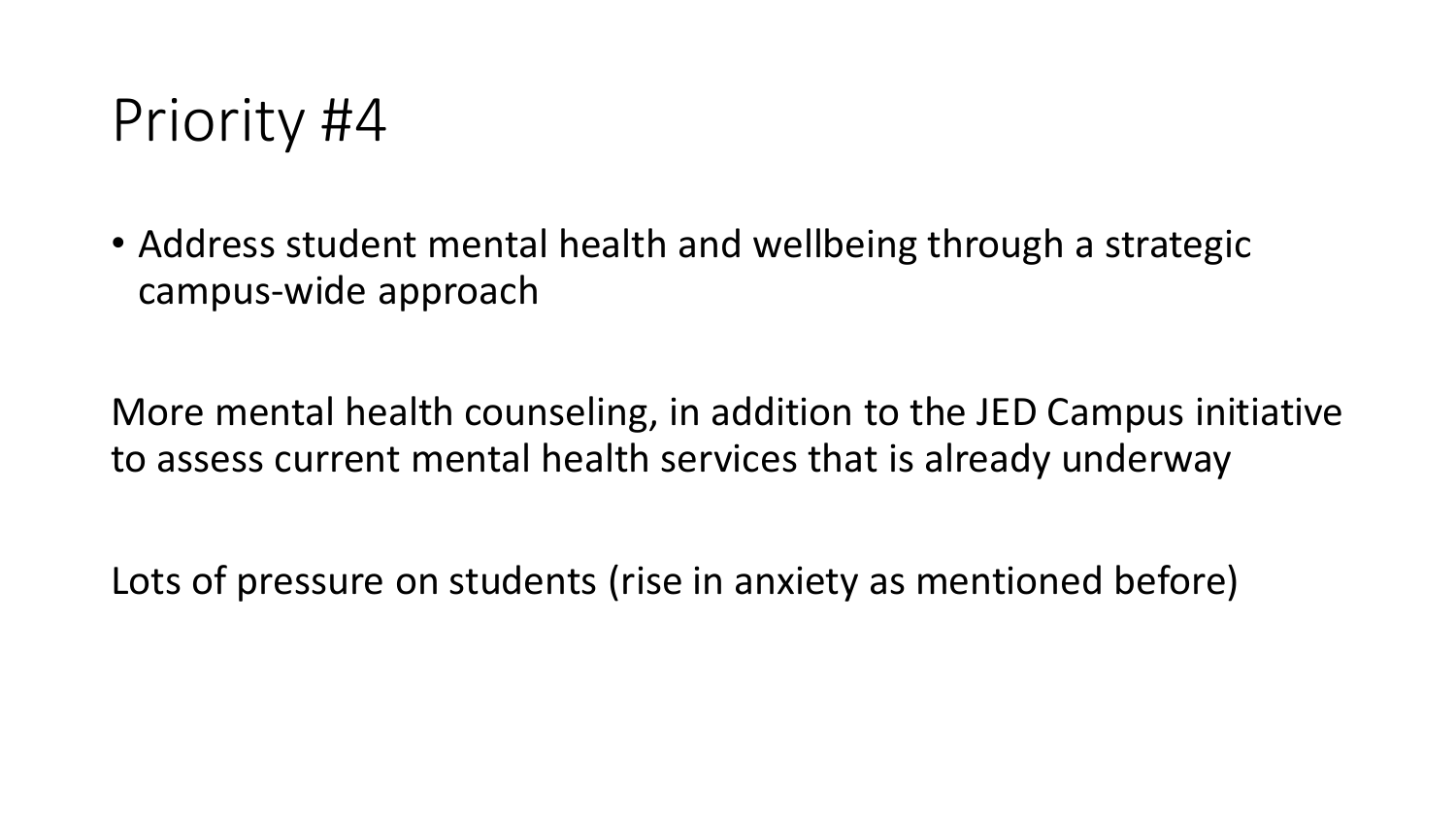• Address student mental health and wellbeing through a strategic campus-wide approach

More mental health counseling, in addition to the JED Campus initiative to assess current mental health services that is already underway

Lots of pressure on students (rise in anxiety as mentioned before)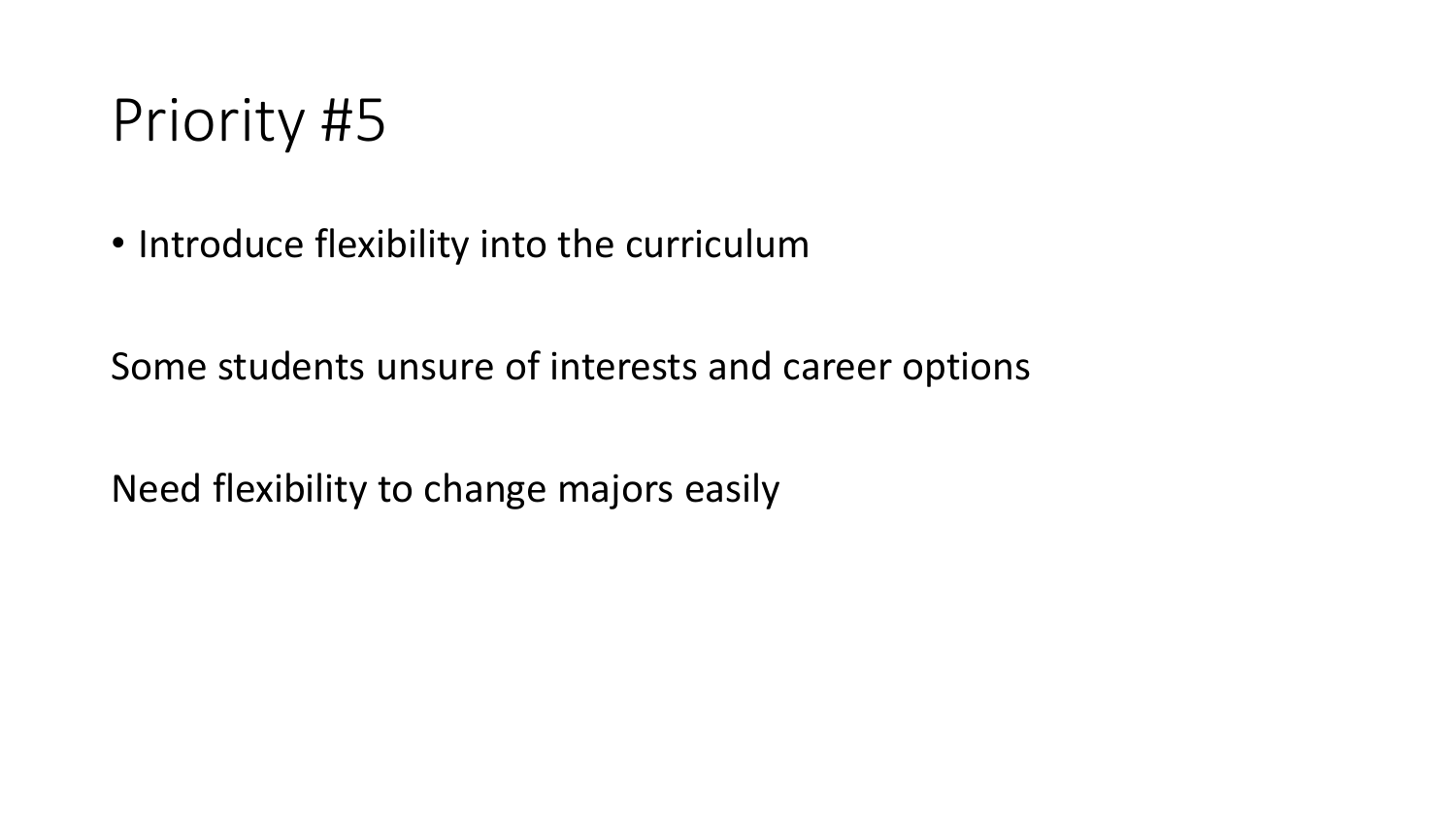• Introduce flexibility into the curriculum

Some students unsure of interests and career options

Need flexibility to change majors easily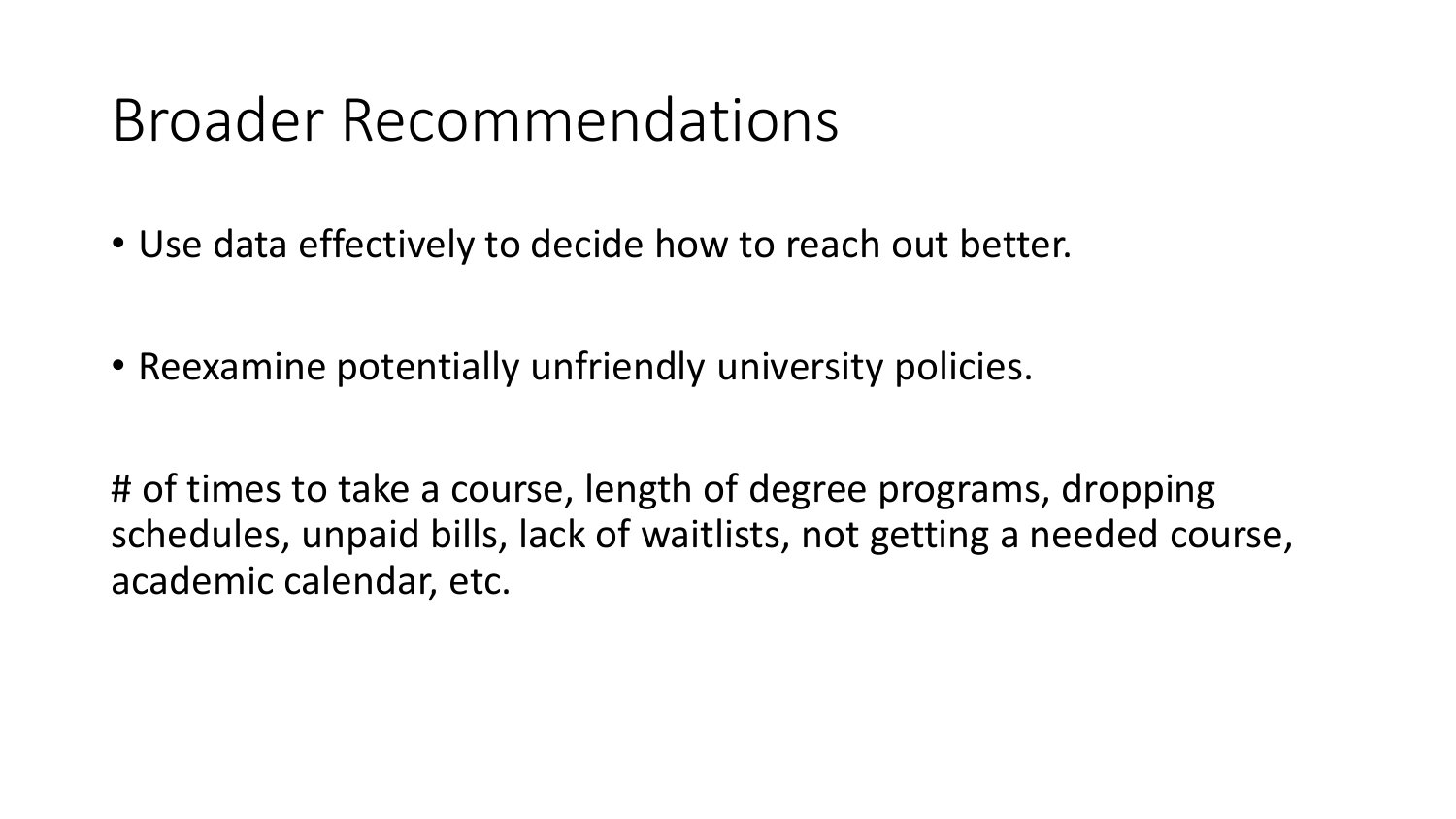#### Broader Recommendations

- Use data effectively to decide how to reach out better.
- Reexamine potentially unfriendly university policies.

# of times to take a course, length of degree programs, dropping schedules, unpaid bills, lack of waitlists, not getting a needed course, academic calendar, etc.